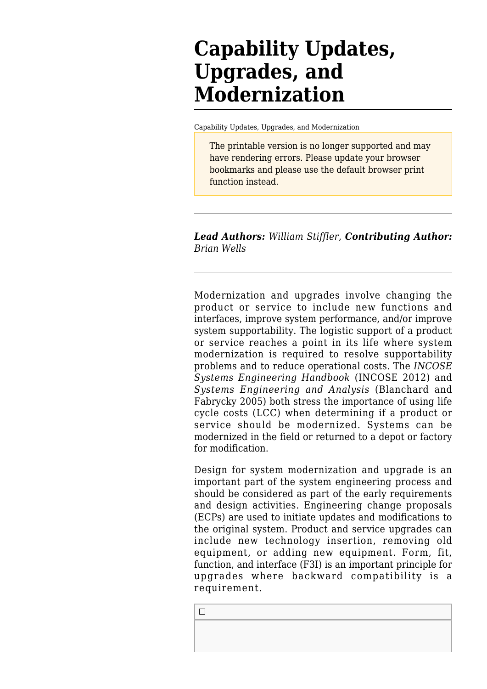# **Capability Updates, Upgrades, and Modernization**

[Capability Updates, Upgrades, and Modernization](http://sebokwiki.org/wiki/Capability_Updates,_Upgrades,_and_Modernization)

The printable version is no longer supported and may have rendering errors. Please update your browser bookmarks and please use the default browser print function instead.

*Lead Authors: William Stiffler*, *Contributing Author: Brian Wells*

Modernization and upgrades involve changing the product or service to include new functions and interfaces, improve system performance, and/or improve system supportability. The logistic support of a product or service reaches a point in its life where system modernization is required to resolve supportability problems and to reduce operational costs. The *[INCOSE](http://sebokwiki.org/wiki/INCOSE_Systems_Engineering_Handbook) [Systems Engineering Handbook](http://sebokwiki.org/wiki/INCOSE_Systems_Engineering_Handbook)* (INCOSE 2012) and *[Systems Engineering and Analysis](http://sebokwiki.org/wiki/Systems_Engineering_and_Analysis)* (Blanchard and Fabrycky 2005) both stress the importance of using life cycle costs (LCC) when determining if a product or service should be modernized. Systems can be modernized in the field or returned to a depot or factory for modification.

Design for system modernization and upgrade is an important part of the system engineering process and should be considered as part of the early requirements and design activities. Engineering change proposals (ECPs) are used to initiate updates and modifications to the original system. Product and service upgrades can include new technology insertion, removing old equipment, or adding new equipment. Form, fit, function, and interface (F3I) is an important principle for upgrades where backward compatibility is a requirement.

 $\Box$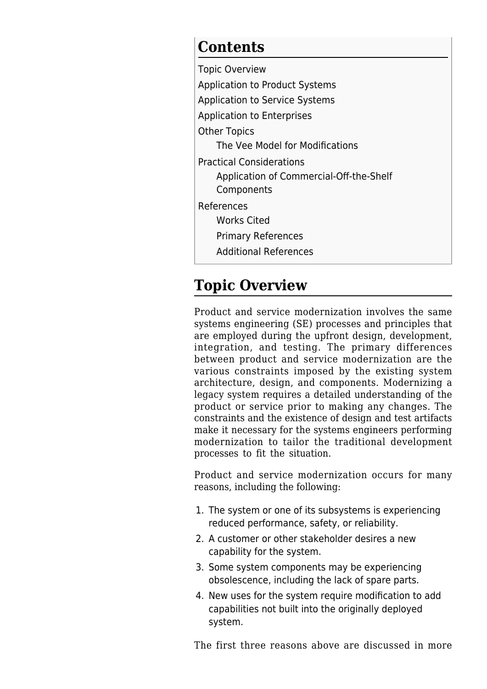### **Contents**

[Topic Overview](#page--1-0) [Application to Product Systems](#page--1-0) [Application to Service Systems](#page--1-0) [Application to Enterprises](#page--1-0) [Other Topics](#page--1-0) [The Vee Model for Modifications](#page--1-0) [Practical Considerations](#page--1-0) [Application of Commercial-Off-the-Shelf](#page--1-0) [Components](#page--1-0) [References](#page--1-0) [Works Cited](#page--1-0) [Primary References](#page--1-0) [Additional References](#page--1-0)

# **Topic Overview**

Product and service modernization involves the same systems engineering (SE) processes and principles that are employed during the upfront design, development, integration, and testing. The primary differences between product and service modernization are the various constraints imposed by the existing system architecture, design, and components. Modernizing a legacy system requires a detailed understanding of the product or service prior to making any changes. The constraints and the existence of design and test artifacts make it necessary for the systems engineers performing modernization to tailor the traditional development processes to fit the situation.

Product and service modernization occurs for many reasons, including the following:

- 1. The system or one of its subsystems is experiencing reduced performance, safety, or reliability.
- 2. A customer or other stakeholder desires a new capability for the system.
- 3. Some system components may be experiencing obsolescence, including the lack of spare parts.
- 4. New uses for the system require modification to add capabilities not built into the originally deployed system.

The first three reasons above are discussed in more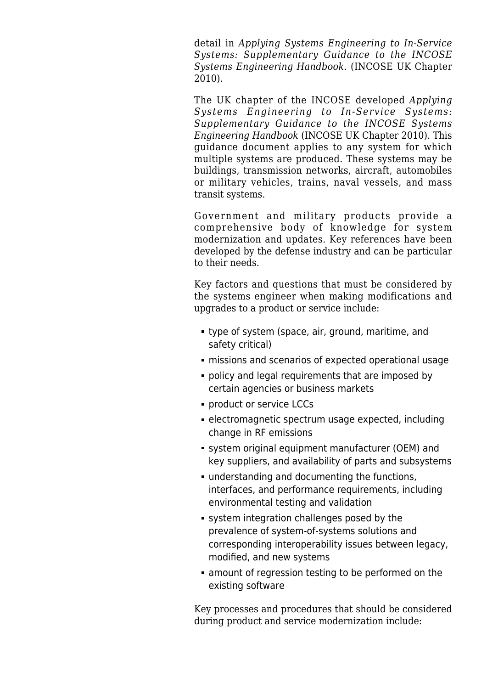detail in *Applying Systems Engineering to In-Service Systems: Supplementary Guidance to the INCOSE Systems Engineering Handbook.* (INCOSE UK Chapter 2010).

The UK chapter of the INCOSE developed *Applying Systems Engineering to In-Service Systems: Supplementary Guidance to the INCOSE Systems Engineering Handbook* (INCOSE UK Chapter 2010). This guidance document applies to any system for which multiple systems are produced. These systems may be buildings, transmission networks, aircraft, automobiles or military vehicles, trains, naval vessels, and mass transit systems.

Government and military products provide a comprehensive body of knowledge for system modernization and updates. Key references have been developed by the defense industry and can be particular to their needs.

Key factors and questions that must be considered by the systems engineer when making modifications and upgrades to a product or service include:

- type of system (space, air, ground, maritime, and safety critical)
- missions and scenarios of expected operational usage
- **policy and legal requirements that are imposed by** certain agencies or business markets
- **product or service LCCs**
- electromagnetic spectrum usage expected, including change in RF emissions
- system original equipment manufacturer (OEM) and key suppliers, and availability of parts and subsystems
- understanding and documenting the functions, interfaces, and performance requirements, including environmental testing and validation
- system integration challenges posed by the prevalence of system-of-systems solutions and corresponding interoperability issues between legacy, modified, and new systems
- amount of regression testing to be performed on the existing software

Key processes and procedures that should be considered during product and service modernization include: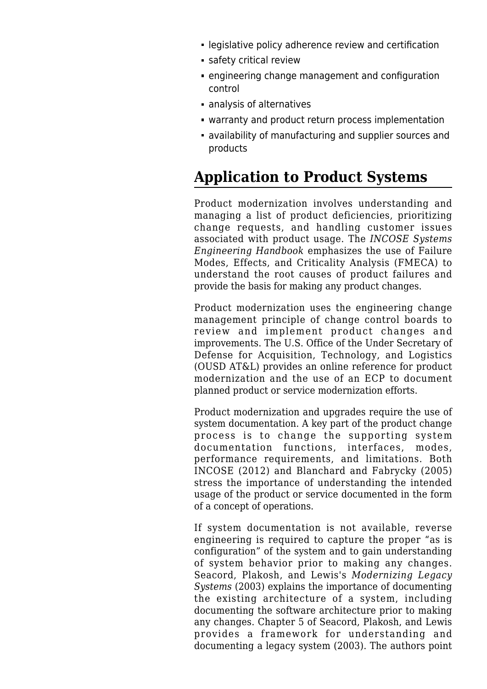- legislative policy adherence review and certification
- **safety critical review**
- engineering change management and configuration control
- analysis of alternatives
- warranty and product return process implementation
- availability of manufacturing and supplier sources and products

# **Application to Product Systems**

Product modernization involves understanding and managing a list of product deficiencies, prioritizing change requests, and handling customer issues associated with product usage. The *INCOSE Systems Engineering Handbook* emphasizes the use of Failure Modes, Effects, and Criticality Analysis (FMECA) to understand the root causes of product failures and provide the basis for making any product changes.

Product modernization uses the engineering change management principle of change control boards to review and implement product changes and improvements. The U.S. Office of the Under Secretary of Defense for Acquisition, Technology, and Logistics (OUSD AT&L) provides an online reference for product modernization and the use of an ECP to document planned product or service modernization efforts.

Product modernization and upgrades require the use of system documentation. A key part of the product change process is to change the supporting system documentation functions, interfaces, modes, performance requirements, and limitations. Both INCOSE (2012) and Blanchard and Fabrycky (2005) stress the importance of understanding the intended usage of the product or service documented in the form of a concept of operations.

If system documentation is not available, reverse engineering is required to capture the proper "as is configuration" of the system and to gain understanding of system behavior prior to making any changes. Seacord, Plakosh, and Lewis's *[Modernizing Legacy](http://sebokwiki.org/wiki/Modernizing_Legacy_Systems) [Systems](http://sebokwiki.org/wiki/Modernizing_Legacy_Systems)* (2003) explains the importance of documenting the existing architecture of a system, including documenting the software architecture prior to making any changes. Chapter 5 of Seacord, Plakosh, and Lewis provides a framework for understanding and documenting a legacy system (2003). The authors point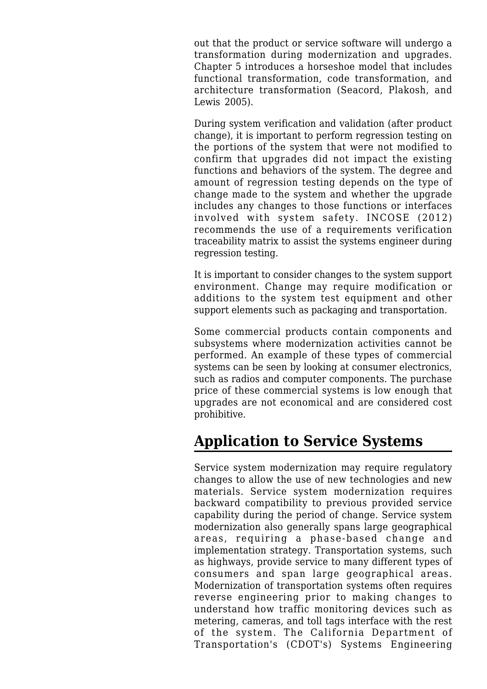out that the product or service software will undergo a transformation during modernization and upgrades. Chapter 5 introduces a horseshoe model that includes functional transformation, code transformation, and architecture transformation (Seacord, Plakosh, and Lewis 2005).

During system verification and validation (after product change), it is important to perform regression testing on the portions of the system that were not modified to confirm that upgrades did not impact the existing functions and behaviors of the system. The degree and amount of regression testing depends on the type of change made to the system and whether the upgrade includes any changes to those functions or interfaces involved with system safety. INCOSE (2012) recommends the use of a requirements verification traceability matrix to assist the systems engineer during regression testing.

It is important to consider changes to the system support environment. Change may require modification or additions to the system test equipment and other support elements such as packaging and transportation.

Some commercial products contain components and subsystems where modernization activities cannot be performed. An example of these types of commercial systems can be seen by looking at consumer electronics, such as radios and computer components. The purchase price of these commercial systems is low enough that upgrades are not economical and are considered cost prohibitive.

## **Application to Service Systems**

Service system modernization may require regulatory changes to allow the use of new technologies and new materials. Service system modernization requires backward compatibility to previous provided service capability during the period of change. Service system modernization also generally spans large geographical areas, requiring a phase-based change and implementation strategy. Transportation systems, such as highways, provide service to many different types of consumers and span large geographical areas. Modernization of transportation systems often requires reverse engineering prior to making changes to understand how traffic monitoring devices such as metering, cameras, and toll tags interface with the rest of the system. The California Department of Transportation's (CDOT's) [Systems Engineering](http://sebokwiki.org/wiki/Systems_Engineering_Guidebook_for_Intelligent_Transportation_Systems_(ITS))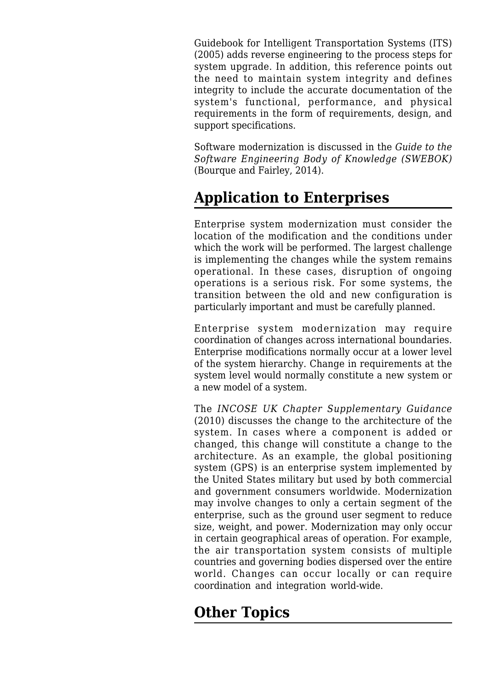[Guidebook for Intelligent Transportation Systems \(ITS\)](http://sebokwiki.org/wiki/Systems_Engineering_Guidebook_for_Intelligent_Transportation_Systems_(ITS)) (2005) adds reverse engineering to the process steps for system upgrade. In addition, this reference points out the need to maintain system integrity and defines integrity to include the accurate documentation of the system's functional, performance, and physical requirements in the form of requirements, design, and support specifications.

Software modernization is discussed in the *Guide to the Software Engineering Body of Knowledge (SWEBOK)* (Bourque and Fairley, 2014).

# **Application to Enterprises**

Enterprise system modernization must consider the location of the modification and the conditions under which the work will be performed. The largest challenge is implementing the changes while the system remains operational. In these cases, disruption of ongoing operations is a serious risk. For some systems, the transition between the old and new configuration is particularly important and must be carefully planned.

Enterprise system modernization may require coordination of changes across international boundaries. Enterprise modifications normally occur at a lower level of the system hierarchy. Change in requirements at the system level would normally constitute a new system or a new model of a system.

The *INCOSE UK Chapter Supplementary Guidance* (2010) discusses the change to the architecture of the system. In cases where a component is added or changed, this change will constitute a change to the architecture. As an example, the global positioning system (GPS) is an enterprise system implemented by the United States military but used by both commercial and government consumers worldwide. Modernization may involve changes to only a certain segment of the enterprise, such as the ground user segment to reduce size, weight, and power. Modernization may only occur in certain geographical areas of operation. For example, the air transportation system consists of multiple countries and governing bodies dispersed over the entire world. Changes can occur locally or can require coordination and integration world-wide.

# **Other Topics**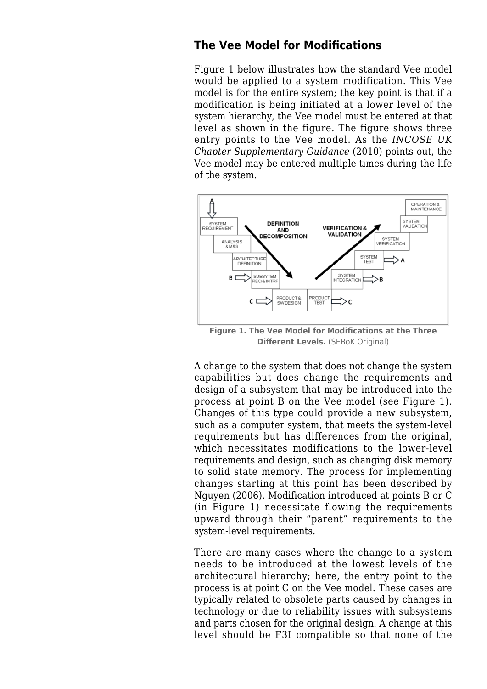#### **The Vee Model for Modifications**

Figure 1 below illustrates how the standard Vee model would be applied to a system modification. This Vee model is for the entire system; the key point is that if a modification is being initiated at a lower level of the system hierarchy, the Vee model must be entered at that level as shown in the figure. The figure shows three entry points to the Vee model. As the *INCOSE UK Chapter Supplementary Guidance* (2010) points out, the Vee model may be entered multiple times during the life of the system.



**Figure 1. The Vee Model for Modifications at the Three Different Levels.** (SEBoK Original)

A change to the system that does not change the system capabilities but does change the requirements and design of a subsystem that may be introduced into the process at point B on the Vee model (see Figure 1). Changes of this type could provide a new subsystem, such as a computer system, that meets the system-level requirements but has differences from the original, which necessitates modifications to the lower-level requirements and design, such as changing disk memory to solid state memory. The process for implementing changes starting at this point has been described by Nguyen (2006). Modification introduced at points B or C (in Figure 1) necessitate flowing the requirements upward through their "parent" requirements to the system-level requirements.

There are many cases where the change to a system needs to be introduced at the lowest levels of the architectural hierarchy; here, the entry point to the process is at point C on the Vee model. These cases are typically related to obsolete parts caused by changes in technology or due to reliability issues with subsystems and parts chosen for the original design. A change at this level should be F3I compatible so that none of the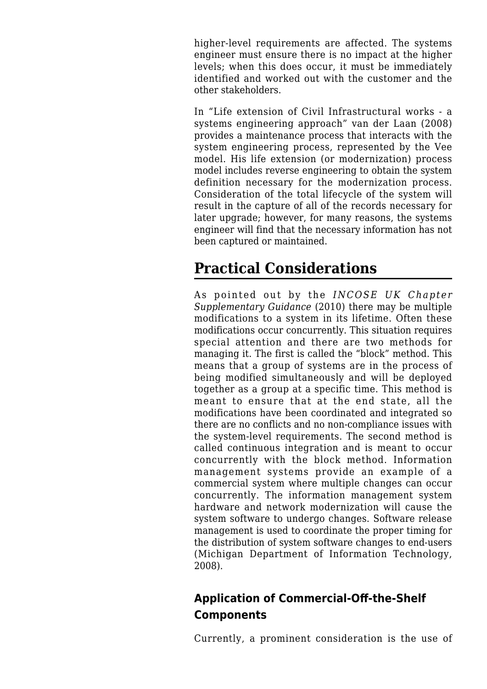higher-level requirements are affected. The systems engineer must ensure there is no impact at the higher levels; when this does occur, it must be immediately identified and worked out with the customer and the other stakeholders.

In "Life extension of Civil Infrastructural works - a systems engineering approach" van der Laan (2008) provides a maintenance process that interacts with the system engineering process, represented by the Vee model. His life extension (or modernization) process model includes reverse engineering to obtain the system definition necessary for the modernization process. Consideration of the total lifecycle of the system will result in the capture of all of the records necessary for later upgrade; however, for many reasons, the systems engineer will find that the necessary information has not been captured or maintained.

## **Practical Considerations**

As pointed out by the *INCOSE UK Chapter Supplementary Guidance* (2010) there may be multiple modifications to a system in its lifetime. Often these modifications occur concurrently. This situation requires special attention and there are two methods for managing it. The first is called the "block" method. This means that a group of systems are in the process of being modified simultaneously and will be deployed together as a group at a specific time. This method is meant to ensure that at the end state, all the modifications have been coordinated and integrated so there are no conflicts and no non-compliance issues with the system-level requirements. The second method is called continuous integration and is meant to occur concurrently with the block method. Information management systems provide an example of a commercial system where multiple changes can occur concurrently. The information management system hardware and network modernization will cause the system software to undergo changes. Software release management is used to coordinate the proper timing for the distribution of system software changes to end-users (Michigan Department of Information Technology, 2008).

#### **Application of Commercial-Off-the-Shelf Components**

Currently, a prominent consideration is the use of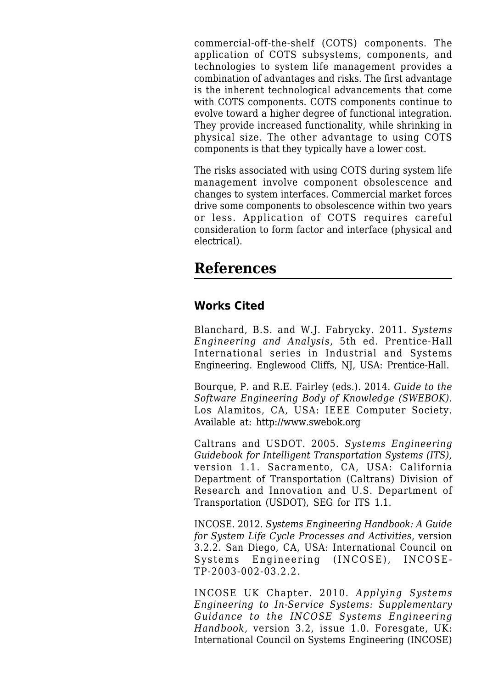commercial-off-the-shelf (COTS) components. The application of COTS subsystems, components, and technologies to system life management provides a combination of advantages and risks. The first advantage is the inherent technological advancements that come with COTS components. COTS components continue to evolve toward a higher degree of functional integration. They provide increased functionality, while shrinking in physical size. The other advantage to using COTS components is that they typically have a lower cost.

The risks associated with using COTS during system life management involve component obsolescence and changes to system interfaces. Commercial market forces drive some components to obsolescence within two years or less. Application of COTS requires careful consideration to form factor and interface (physical and electrical).

#### **References**

#### **Works Cited**

Blanchard, B.S. and W.J. Fabrycky. 2011. *[Systems](http://sebokwiki.org/wiki/Systems_Engineering_and_Analysis) [Engineering and Analysis](http://sebokwiki.org/wiki/Systems_Engineering_and_Analysis)*, 5th ed. Prentice-Hall International series in Industrial and Systems Engineering. Englewood Cliffs, NJ, USA: Prentice-Hall.

Bourque, P. and R.E. Fairley (eds.). 2014. *Guide to the Software Engineering Body of Knowledge (SWEBOK)*. Los Alamitos, CA, USA: IEEE Computer Society. Available at:<http://www.swebok.org>

Caltrans and USDOT. 2005. *[Systems Engineering](http://sebokwiki.org/wiki/Systems_Engineering_Guidebook_for_Intelligent_Transportation_Systems_(ITS)) [Guidebook for Intelligent Transportation Systems \(ITS\)](http://sebokwiki.org/wiki/Systems_Engineering_Guidebook_for_Intelligent_Transportation_Systems_(ITS)),* version 1.1. Sacramento, CA, USA: California Department of Transportation (Caltrans) Division of Research and Innovation and U.S. Department of Transportation (USDOT), SEG for ITS 1.1.

INCOSE. 2012. *[Systems Engineering Handbook:](http://sebokwiki.org/wiki/INCOSE_Systems_Engineering_Handbook) A Guide for System Life Cycle Processes and Activities*, version 3.2.2. San Diego, CA, USA: International Council on Systems Engineering (INCOSE), INCOSE-TP-2003-002-03.2.2.

INCOSE UK Chapter. 2010. *Applying Systems Engineering to In-Service Systems: Supplementary Guidance to the INCOSE Systems Engineering Handbook,* version 3.2, issue 1.0. Foresgate, UK: International Council on Systems Engineering (INCOSE)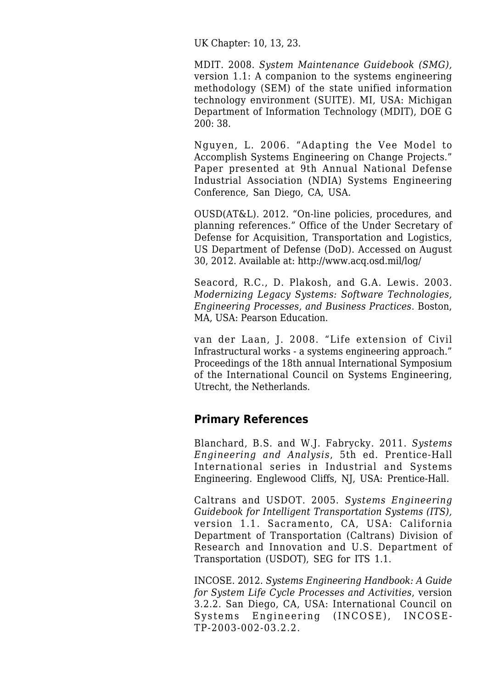UK Chapter: 10, 13, 23.

MDIT. 2008. *System Maintenance Guidebook (SMG),* version 1.1: A companion to the systems engineering methodology (SEM) of the state unified information technology environment (SUITE). MI, USA: Michigan Department of Information Technology (MDIT), DOE G 200: 38.

Nguyen, L. 2006. "Adapting the Vee Model to Accomplish Systems Engineering on Change Projects." Paper presented at 9th Annual National Defense Industrial Association (NDIA) Systems Engineering Conference, San Diego, CA, USA.

OUSD(AT&L). 2012. "On-line policies, procedures, and planning references." Office of the Under Secretary of Defense for Acquisition, Transportation and Logistics, US Department of Defense (DoD). Accessed on August 30, 2012. Available at:<http://www.acq.osd.mil/log/>

Seacord, R.C., D. Plakosh, and G.A. Lewis. 2003. *[Modernizing Legacy Systems](http://sebokwiki.org/wiki/Modernizing_Legacy_Systems): Software Technologies, Engineering Processes, and Business Practices*. Boston, MA, USA: Pearson Education.

van der Laan, J. 2008. "Life extension of Civil Infrastructural works - a systems engineering approach." Proceedings of the 18th annual International Symposium of the International Council on Systems Engineering, Utrecht, the Netherlands.

#### **Primary References**

Blanchard, B.S. and W.J. Fabrycky. 2011. *[Systems](http://sebokwiki.org/wiki/Systems_Engineering_and_Analysis) [Engineering and Analysis](http://sebokwiki.org/wiki/Systems_Engineering_and_Analysis)*, 5th ed. Prentice-Hall International series in Industrial and Systems Engineering. Englewood Cliffs, NJ, USA: Prentice-Hall.

Caltrans and USDOT. 2005. *[Systems Engineering](http://sebokwiki.org/wiki/Systems_Engineering_Guidebook_for_Intelligent_Transportation_Systems_(ITS)) [Guidebook for Intelligent Transportation Systems \(ITS\)](http://sebokwiki.org/wiki/Systems_Engineering_Guidebook_for_Intelligent_Transportation_Systems_(ITS)),* version 1.1. Sacramento, CA, USA: California Department of Transportation (Caltrans) Division of Research and Innovation and U.S. Department of Transportation (USDOT), SEG for ITS 1.1.

INCOSE. 2012. *[Systems Engineering Handbook:](http://sebokwiki.org/wiki/INCOSE_Systems_Engineering_Handbook) A Guide for System Life Cycle Processes and Activities*, version 3.2.2. San Diego, CA, USA: International Council on Systems Engineering (INCOSE), INCOSE-TP-2003-002-03.2.2.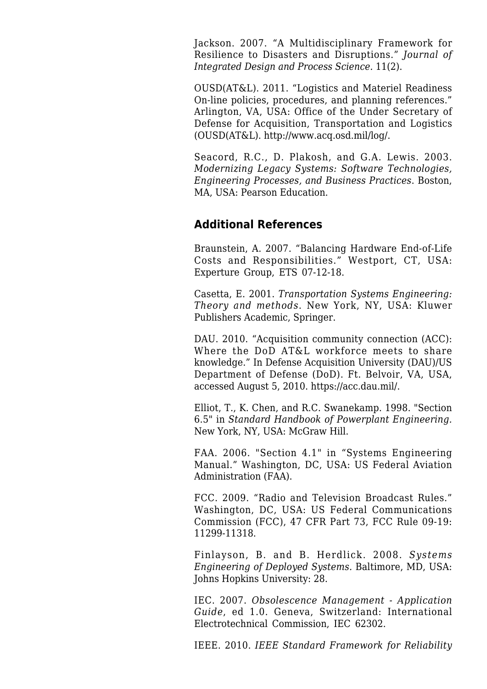Jackson. 2007. "[A Multidisciplinary Framework for](http://sebokwiki.org/wiki/A_Multidisciplinary_Framework_for_Resilience_to_Disasters_and_Disruptions) [Resilience to Disasters and Disruptions.](http://sebokwiki.org/wiki/A_Multidisciplinary_Framework_for_Resilience_to_Disasters_and_Disruptions)" *Journal of Integrated Design and Process Science.* 11(2).

OUSD(AT&L). 2011. ["Logistics and Materiel Readiness](http://sebokwiki.org/wiki/Logistics_and_Materiel_Readiness) On-line policies, procedures, and planning references." Arlington, VA, USA: Office of the Under Secretary of Defense for Acquisition, Transportation and Logistics (OUSD(AT&L). [http://www.acq.osd.mil/log/.](http://www.acq.osd.mil/log/)

Seacord, R.C., D. Plakosh, and G.A. Lewis. 2003. *[Modernizing Legacy Systems](http://sebokwiki.org/wiki/Modernizing_Legacy_Systems): Software Technologies, Engineering Processes, and Business Practices*. Boston, MA, USA: Pearson Education.

#### **Additional References**

Braunstein, A. 2007. "Balancing Hardware End-of-Life Costs and Responsibilities." Westport, CT, USA: Experture Group, ETS 07-12-18.

Casetta, E. 2001. *Transportation Systems Engineering: Theory and methods*. New York, NY, USA: Kluwer Publishers Academic, Springer.

DAU. 2010. "Acquisition community connection (ACC): Where the DoD AT&L workforce meets to share knowledge." In Defense Acquisition University (DAU)/US Department of Defense (DoD). Ft. Belvoir, VA, USA, accessed August 5, 2010. [https://acc.dau.mil/.](https://acc.dau.mil/)

Elliot, T., K. Chen, and R.C. Swanekamp. 1998. "Section 6.5" in *Standard Handbook of Powerplant Engineering.* New York, NY, USA: McGraw Hill.

FAA. 2006. "Section 4.1" in "Systems Engineering Manual." Washington, DC, USA: US Federal Aviation Administration (FAA).

FCC. 2009. "Radio and Television Broadcast Rules." Washington, DC, USA: US Federal Communications Commission (FCC), 47 CFR Part 73, FCC Rule 09-19: 11299-11318.

Finlayson, B. and B. Herdlick. 2008. *Systems Engineering of Deployed Systems.* Baltimore, MD, USA: Johns Hopkins University: 28.

IEC. 2007. *Obsolescence Management - Application Guide*, ed 1.0. Geneva, Switzerland: International Electrotechnical Commission, IEC 62302.

IEEE. 2010. *IEEE Standard Framework for Reliability*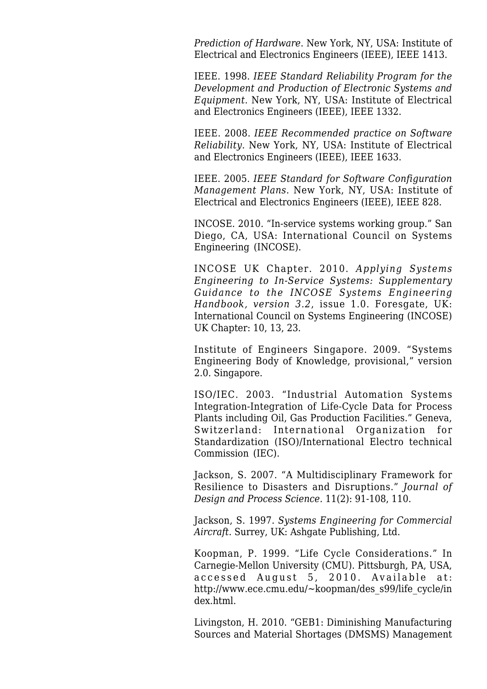*Prediction of Hardware*. New York, NY, USA: Institute of Electrical and Electronics Engineers (IEEE), IEEE 1413.

IEEE. 1998. *IEEE Standard Reliability Program for the Development and Production of Electronic Systems and Equipment*. New York, NY, USA: Institute of Electrical and Electronics Engineers (IEEE), IEEE 1332.

IEEE. 2008. *IEEE Recommended practice on Software Reliability*. New York, NY, USA: Institute of Electrical and Electronics Engineers (IEEE), IEEE 1633.

IEEE. 2005. *IEEE Standard for Software Configuration Management Plans*. New York, NY, USA: Institute of Electrical and Electronics Engineers (IEEE), IEEE 828.

INCOSE. 2010. "In-service systems working group." San Diego, CA, USA: International Council on Systems Engineering (INCOSE).

INCOSE UK Chapter. 2010. *Applying Systems Engineering to In-Service Systems: Supplementary Guidance to the INCOSE Systems Engineering Handbook, version 3.2*, issue 1.0. Foresgate, UK: International Council on Systems Engineering (INCOSE) UK Chapter: 10, 13, 23.

Institute of Engineers Singapore. 2009. "Systems Engineering Body of Knowledge, provisional," version 2.0. Singapore.

ISO/IEC. 2003. "Industrial Automation Systems Integration-Integration of Life-Cycle Data for Process Plants including Oil, Gas Production Facilities." Geneva, Switzerland: International Organization for Standardization (ISO)/International Electro technical Commission (IEC).

Jackson, S. 2007. "A Multidisciplinary Framework for Resilience to Disasters and Disruptions." *Journal of Design and Process Science.* 11(2): 91-108, 110.

Jackson, S. 1997. *Systems Engineering for Commercial Aircraft.* Surrey, UK: Ashgate Publishing, Ltd.

Koopman, P. 1999. "Life Cycle Considerations." In Carnegie-Mellon University (CMU). Pittsburgh, PA, USA, accessed August 5, 2010. Available at: [http://www.ece.cmu.edu/~koopman/des\\_s99/life\\_cycle/in](http://www.ece.cmu.edu/~koopman/des_s99/life_cycle/index.html) [dex.html](http://www.ece.cmu.edu/~koopman/des_s99/life_cycle/index.html).

Livingston, H. 2010. "GEB1: Diminishing Manufacturing Sources and Material Shortages (DMSMS) Management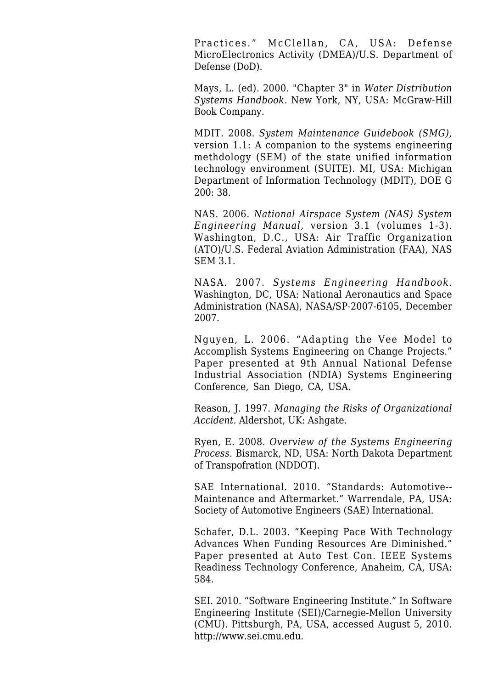Practices." McClellan, CA, USA: Defense MicroElectronics Activity (DMEA)/U.S. Department of Defense (DoD).

Mays, L. (ed). 2000. "Chapter 3" in *Water Distribution Systems Handbook.* New York, NY, USA: McGraw-Hill Book Company.

MDIT. 2008. *System Maintenance Guidebook (SMG),* version 1.1: A companion to the systems engineering methdology (SEM) of the state unified information technology environment (SUITE). MI, USA: Michigan Department of Information Technology (MDIT), DOE G 200: 38.

NAS. 2006. *National Airspace System (NAS) System Engineering Manual,* version 3.1 (volumes 1-3). Washington, D.C., USA: Air Traffic Organization (ATO)/U.S. Federal Aviation Administration (FAA), NAS SEM 3.1.

NASA. 2007. *Systems Engineering Handbook.* Washington, DC, USA: National Aeronautics and Space Administration (NASA), NASA/SP-2007-6105, December 2007.

Nguyen, L. 2006. "Adapting the Vee Model to Accomplish Systems Engineering on Change Projects." Paper presented at 9th Annual National Defense Industrial Association (NDIA) Systems Engineering Conference, San Diego, CA, USA.

Reason, J. 1997. *Managing the Risks of Organizational Accident.* Aldershot, UK: Ashgate.

Ryen, E. 2008. *Overview of the Systems Engineering Process.* Bismarck, ND, USA: North Dakota Department of Transpofration (NDDOT).

SAE International. 2010. "Standards: Automotive-- Maintenance and Aftermarket." Warrendale, PA, USA: Society of Automotive Engineers (SAE) International.

Schafer, D.L. 2003. "Keeping Pace With Technology Advances When Funding Resources Are Diminished." Paper presented at Auto Test Con. IEEE Systems Readiness Technology Conference, Anaheim, CA, USA: 584.

SEI. 2010. "Software Engineering Institute." In Software Engineering Institute (SEI)/Carnegie-Mellon University (CMU). Pittsburgh, PA, USA, accessed August 5, 2010. [http://www.sei.cmu.edu.](http://www.sei.cmu.edu)